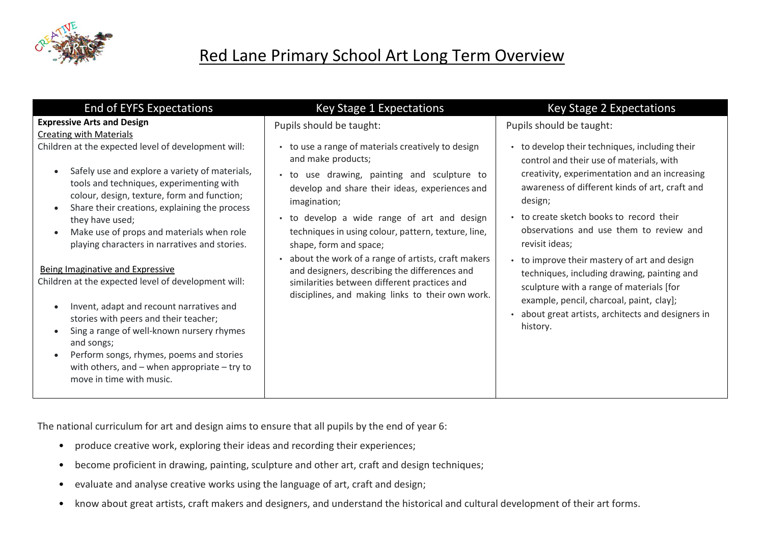

| <b>End of EYFS Expectations</b>                                                                                                                                                                                                                                                                                                                                                                                                                                                                                                                                                                                                                                                                                                           | <b>Key Stage 1 Expectations</b>                                                                                                                                                                                                                                                                                                                                                                                                                                                                                                      | Key Stage 2 Expectations                                                                                                                                                                                                                                                                                                                                                                                                                                                                                                                                                 |
|-------------------------------------------------------------------------------------------------------------------------------------------------------------------------------------------------------------------------------------------------------------------------------------------------------------------------------------------------------------------------------------------------------------------------------------------------------------------------------------------------------------------------------------------------------------------------------------------------------------------------------------------------------------------------------------------------------------------------------------------|--------------------------------------------------------------------------------------------------------------------------------------------------------------------------------------------------------------------------------------------------------------------------------------------------------------------------------------------------------------------------------------------------------------------------------------------------------------------------------------------------------------------------------------|--------------------------------------------------------------------------------------------------------------------------------------------------------------------------------------------------------------------------------------------------------------------------------------------------------------------------------------------------------------------------------------------------------------------------------------------------------------------------------------------------------------------------------------------------------------------------|
| <b>Expressive Arts and Design</b><br><b>Creating with Materials</b>                                                                                                                                                                                                                                                                                                                                                                                                                                                                                                                                                                                                                                                                       | Pupils should be taught:                                                                                                                                                                                                                                                                                                                                                                                                                                                                                                             | Pupils should be taught:                                                                                                                                                                                                                                                                                                                                                                                                                                                                                                                                                 |
| Children at the expected level of development will:<br>Safely use and explore a variety of materials,<br>tools and techniques, experimenting with<br>colour, design, texture, form and function;<br>Share their creations, explaining the process<br>they have used;<br>Make use of props and materials when role<br>playing characters in narratives and stories.<br>Being Imaginative and Expressive<br>Children at the expected level of development will:<br>Invent, adapt and recount narratives and<br>stories with peers and their teacher;<br>Sing a range of well-known nursery rhymes<br>and songs;<br>Perform songs, rhymes, poems and stories<br>with others, and $-$ when appropriate $-$ try to<br>move in time with music. | • to use a range of materials creatively to design<br>and make products;<br>• to use drawing, painting and sculpture to<br>develop and share their ideas, experiences and<br>imagination;<br>• to develop a wide range of art and design<br>techniques in using colour, pattern, texture, line,<br>shape, form and space;<br>about the work of a range of artists, craft makers<br>and designers, describing the differences and<br>similarities between different practices and<br>disciplines, and making links to their own work. | • to develop their techniques, including their<br>control and their use of materials, with<br>creativity, experimentation and an increasing<br>awareness of different kinds of art, craft and<br>design;<br>• to create sketch books to record their<br>observations and use them to review and<br>revisit ideas;<br>• to improve their mastery of art and design<br>techniques, including drawing, painting and<br>sculpture with a range of materials [for<br>example, pencil, charcoal, paint, clay];<br>about great artists, architects and designers in<br>history. |

The national curriculum for art and design aims to ensure that all pupils by the end of year 6:

- produce creative work, exploring their ideas and recording their experiences;
- become proficient in drawing, painting, sculpture and other art, craft and design techniques;
- evaluate and analyse creative works using the language of art, craft and design;
- know about great artists, craft makers and designers, and understand the historical and cultural development of their art forms.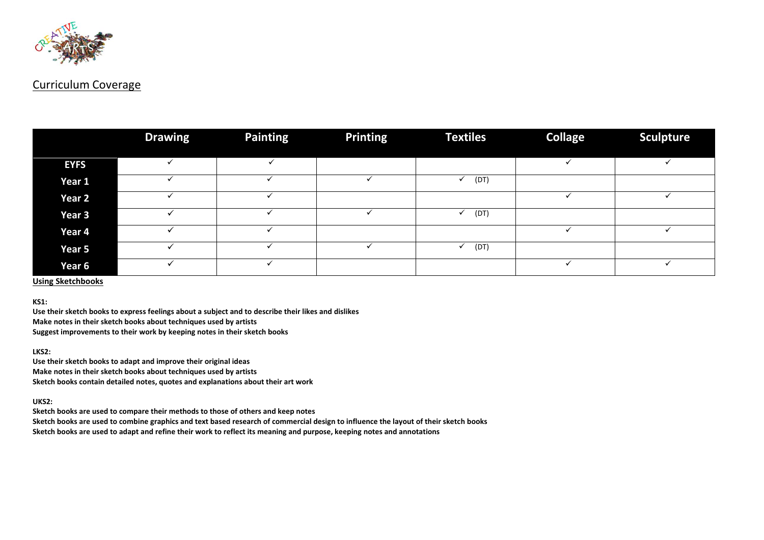

#### Curriculum Coverage

|             | <b>Drawing</b> | <b>Painting</b> | <b>Printing</b> | <b>Textiles</b> | <b>Collage</b> | <b>Sculpture</b> |
|-------------|----------------|-----------------|-----------------|-----------------|----------------|------------------|
|             |                |                 |                 |                 |                |                  |
| <b>EYFS</b> |                |                 |                 |                 |                |                  |
| Year 1      |                |                 |                 | (DT)            |                |                  |
| Year 2      |                |                 |                 |                 |                |                  |
| Year 3      |                |                 |                 | (DT)            |                |                  |
| Year 4      |                |                 |                 |                 |                |                  |
| Year 5      |                |                 |                 | (DT)            |                |                  |
| Year 6      |                |                 |                 |                 |                |                  |

#### **Using Sketchbooks**

**KS1:**

**Use their sketch books to express feelings about a subject and to describe their likes and dislikes Make notes in their sketch books about techniques used by artists Suggest improvements to their work by keeping notes in their sketch books**

**LKS2:**

**Use their sketch books to adapt and improve their original ideas Make notes in their sketch books about techniques used by artists Sketch books contain detailed notes, quotes and explanations about their art work**

**UKS2:**

**Sketch books are used to compare their methods to those of others and keep notes**

**Sketch books are used to combine graphics and text based research of commercial design to influence the layout of their sketch books**

**Sketch books are used to adapt and refine their work to reflect its meaning and purpose, keeping notes and annotations**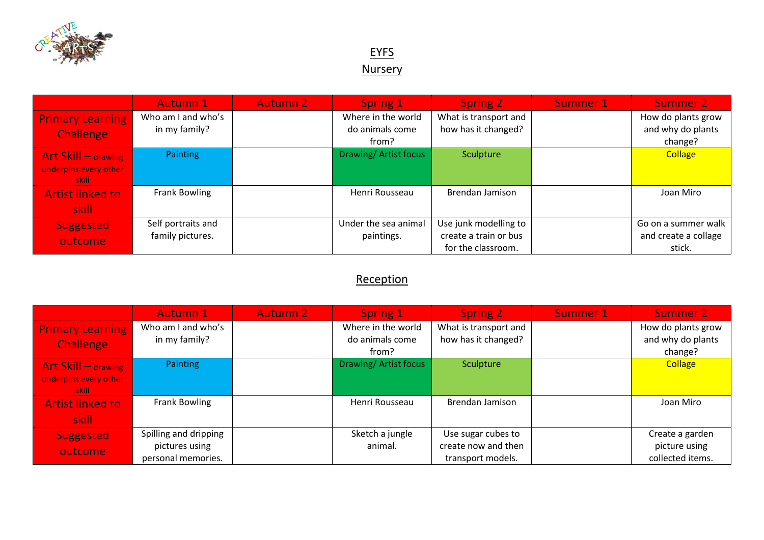

## **EYFS Nursery**

|                                                          | <b>Autumn 1</b>                        | <b>Autumn 2</b> | Spring 1                                       | <b>Spring 2</b>                                                      | Summer 1 | Summer 2                                              |
|----------------------------------------------------------|----------------------------------------|-----------------|------------------------------------------------|----------------------------------------------------------------------|----------|-------------------------------------------------------|
| <b>Primary Learning</b><br><b>Challenge</b>              | Who am I and who's<br>in my family?    |                 | Where in the world<br>do animals come<br>from? | What is transport and<br>how has it changed?                         |          | How do plants grow<br>and why do plants<br>change?    |
| Art Skill $-$ drawing<br>underpins every other<br>skill: | <b>Painting</b>                        |                 | Drawing/Artist focus                           | Sculpture                                                            |          | <b>Collage</b>                                        |
| <b>Artist linked to</b><br>skill                         | Frank Bowling                          |                 | Henri Rousseau                                 | Brendan Jamison                                                      |          | Joan Miro                                             |
| Suggested<br>outcome                                     | Self portraits and<br>family pictures. |                 | Under the sea animal<br>paintings.             | Use junk modelling to<br>create a train or bus<br>for the classroom. |          | Go on a summer walk<br>and create a collage<br>stick. |

## **Reception**

|                                                           | <b>Autumn 1</b>                                               | <b>Autumn 2</b> | Spring 1                                       | <b>Spring 2</b>                                                | Summer 1 | <b>Summer 2</b>                                      |
|-----------------------------------------------------------|---------------------------------------------------------------|-----------------|------------------------------------------------|----------------------------------------------------------------|----------|------------------------------------------------------|
| <b>Primary Learning</b><br><b>Challenge</b>               | Who am I and who's<br>in my family?                           |                 | Where in the world<br>do animals come<br>from? | What is transport and<br>how has it changed?                   |          | How do plants grow<br>and why do plants<br>change?   |
| Art Skill $-$ drawing<br>underpins every other<br>-skill- | <b>Painting</b>                                               |                 | Drawing/Artist focus                           | Sculpture                                                      |          | <b>Collage</b>                                       |
| <b>Artist linked to</b><br>skill                          | Frank Bowling                                                 |                 | Henri Rousseau                                 | Brendan Jamison                                                |          | Joan Miro                                            |
| Suggested<br>outcome                                      | Spilling and dripping<br>pictures using<br>personal memories. |                 | Sketch a jungle<br>animal.                     | Use sugar cubes to<br>create now and then<br>transport models. |          | Create a garden<br>picture using<br>collected items. |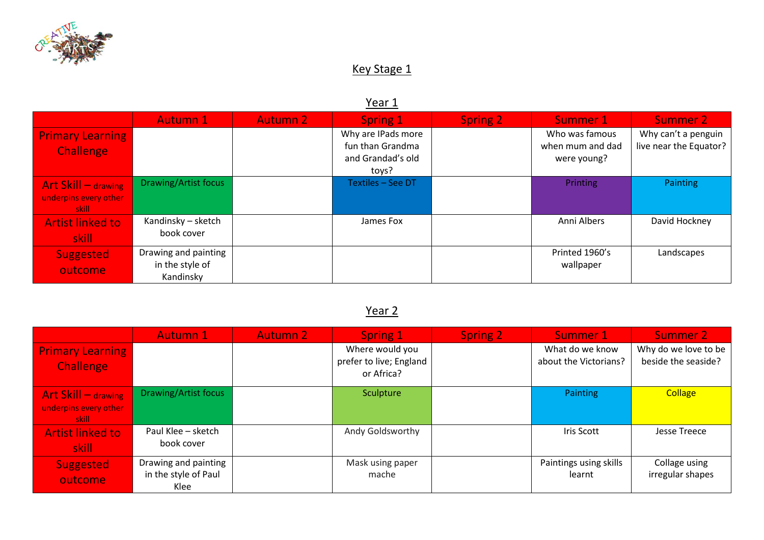

## Key Stage 1

## Year 1

|                                                          | <b>Autumn 1</b>                                      | <b>Autumn 2</b> | Spring 1                                                             | <b>Spring 2</b> | Summer 1                                          | Summer 2                                      |
|----------------------------------------------------------|------------------------------------------------------|-----------------|----------------------------------------------------------------------|-----------------|---------------------------------------------------|-----------------------------------------------|
| <b>Primary Learning</b><br>Challenge                     |                                                      |                 | Why are IPads more<br>fun than Grandma<br>and Grandad's old<br>toys? |                 | Who was famous<br>when mum and dad<br>were young? | Why can't a penguin<br>live near the Equator? |
| Art Skill $-$ drawing<br>underpins every other<br>skill: | Drawing/Artist focus                                 |                 | Textiles - See DT                                                    |                 | <b>Printing</b>                                   | Painting                                      |
| <b>Artist linked to</b><br>skill:                        | Kandinsky – sketch<br>book cover                     |                 | James Fox                                                            |                 | Anni Albers                                       | David Hockney                                 |
| <b>Suggested</b><br>outcome                              | Drawing and painting<br>in the style of<br>Kandinsky |                 |                                                                      |                 | Printed 1960's<br>wallpaper                       | Landscapes                                    |

# Year 2

|                                                           | <b>Autumn 1</b>                                      | <b>Autumn 2</b> | Spring 1                                                 | <b>Spring 2</b> | Summer 1                                 | <b>Summer 2</b>                             |
|-----------------------------------------------------------|------------------------------------------------------|-----------------|----------------------------------------------------------|-----------------|------------------------------------------|---------------------------------------------|
| <b>Primary Learning</b><br>Challenge                      |                                                      |                 | Where would you<br>prefer to live; England<br>or Africa? |                 | What do we know<br>about the Victorians? | Why do we love to be<br>beside the seaside? |
| Art Skill $-$ drawing<br>underpins every other<br>-skill- | Drawing/Artist focus                                 |                 | Sculpture                                                |                 | Painting                                 | <b>Collage</b>                              |
| <b>Artist linked to</b><br>skill                          | Paul Klee - sketch<br>book cover                     |                 | Andy Goldsworthy                                         |                 | Iris Scott                               | Jesse Treece                                |
| <b>Suggested</b><br>outcome                               | Drawing and painting<br>in the style of Paul<br>Klee |                 | Mask using paper<br>mache                                |                 | Paintings using skills<br>learnt         | Collage using<br>irregular shapes           |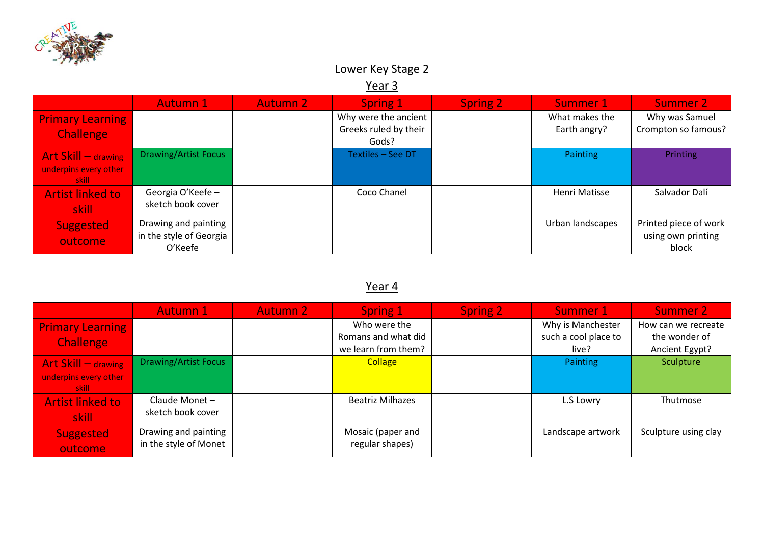

## Lower Key Stage 2

Year 3

|                                                          | <b>Autumn 1</b>                                            | <b>Autumn 2</b> | Spring 1                                               | <b>Spring 2</b> | Summer 1                       | Summer 2                                             |
|----------------------------------------------------------|------------------------------------------------------------|-----------------|--------------------------------------------------------|-----------------|--------------------------------|------------------------------------------------------|
| <b>Primary Learning</b><br>Challenge                     |                                                            |                 | Why were the ancient<br>Greeks ruled by their<br>Gods? |                 | What makes the<br>Earth angry? | Why was Samuel<br>Crompton so famous?                |
| Art Skill $-$ drawing<br>underpins every other<br>skill: | <b>Drawing/Artist Focus</b>                                |                 | Textiles - See DT                                      |                 | <b>Painting</b>                | Printing                                             |
| <b>Artist linked to</b><br>skill                         | Georgia O'Keefe -<br>sketch book cover                     |                 | Coco Chanel                                            |                 | <b>Henri Matisse</b>           | Salvador Dalí                                        |
| <b>Suggested</b><br>outcome                              | Drawing and painting<br>in the style of Georgia<br>O'Keefe |                 |                                                        |                 | Urban landscapes               | Printed piece of work<br>using own printing<br>block |

## Year 4

|                                                           | <b>Autumn 1</b>                               | <b>Autumn 2</b> | <b>Spring 1</b>                                            | <b>Spring 2</b> | Summer 1                                           | <b>Summer 2</b>                                        |
|-----------------------------------------------------------|-----------------------------------------------|-----------------|------------------------------------------------------------|-----------------|----------------------------------------------------|--------------------------------------------------------|
| <b>Primary Learning</b><br><b>Challenge</b>               |                                               |                 | Who were the<br>Romans and what did<br>we learn from them? |                 | Why is Manchester<br>such a cool place to<br>live? | How can we recreate<br>the wonder of<br>Ancient Egypt? |
| Art Skill $-$ drawing<br>underpins every other<br>skill : | <b>Drawing/Artist Focus</b>                   |                 | <b>Collage</b>                                             |                 | Painting                                           | Sculpture                                              |
| <b>Artist linked to</b><br>skill                          | Claude Monet-<br>sketch book cover            |                 | <b>Beatriz Milhazes</b>                                    |                 | L.S Lowry                                          | Thutmose                                               |
| Suggested<br>outcome                                      | Drawing and painting<br>in the style of Monet |                 | Mosaic (paper and<br>regular shapes)                       |                 | Landscape artwork                                  | Sculpture using clay                                   |